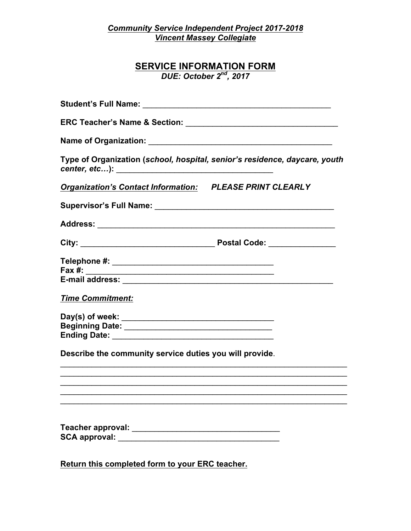*Community Service Independent Project 2017-2018 Vincent Massey Collegiate*

# **SERVICE INFORMATION FORM** *DUE: October 2nd, 2017*

| Type of Organization (school, hospital, senior's residence, daycare, youth                                                                                |  |
|-----------------------------------------------------------------------------------------------------------------------------------------------------------|--|
| <b>Organization's Contact Information: PLEASE PRINT CLEARLY</b>                                                                                           |  |
|                                                                                                                                                           |  |
|                                                                                                                                                           |  |
|                                                                                                                                                           |  |
| Fax #:<br><u> 2001 - Jan James James James James James James James James James James James James James James James James J</u><br><b>Time Commitment:</b> |  |
| Describe the community service duties you will provide.                                                                                                   |  |
|                                                                                                                                                           |  |
|                                                                                                                                                           |  |
|                                                                                                                                                           |  |
|                                                                                                                                                           |  |

**Return this completed form to your ERC teacher.**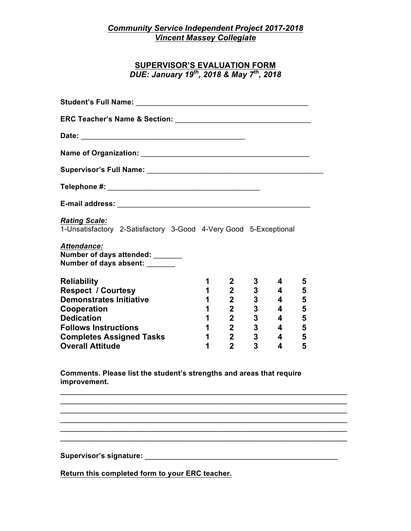### *Community Service Independent Project 2017-2018 Vincent Massey Collegiate*

## **SUPERVISOR'S EVALUATION FORM** *DUE: January 19th, 2018 & May 7th, 2018*

|                                                                                                                                                                                                                                                                                                                                                                        | 1                                   | $\mathbf{2}$                 | 3                           | 4                                         | 5      |
|------------------------------------------------------------------------------------------------------------------------------------------------------------------------------------------------------------------------------------------------------------------------------------------------------------------------------------------------------------------------|-------------------------------------|------------------------------|-----------------------------|-------------------------------------------|--------|
|                                                                                                                                                                                                                                                                                                                                                                        | 1                                   | $2^{\sim}$                   |                             | $\overline{\mathbf{4}}$                   | 5      |
|                                                                                                                                                                                                                                                                                                                                                                        | 1                                   | $\overline{2}$               | $\frac{3}{3}$               | $\overline{\mathbf{4}}$                   | 5      |
|                                                                                                                                                                                                                                                                                                                                                                        | 1                                   | $2^{\sim}$                   | $\mathbf 3$                 | $\overline{4}$                            | 5      |
|                                                                                                                                                                                                                                                                                                                                                                        | $1 \quad \blacksquare$              | $2^{\sim}$                   | $\mathbf{3}$                | $\overline{4}$                            | 5      |
| <b>Rating Scale:</b><br>1-Unsatisfactory 2-Satisfactory 3-Good 4-Very Good 5-Exceptional<br><b>Attendance:</b><br>Number of days attended: ______<br>Number of days absent:<br><b>Reliability</b><br><b>Respect / Courtesy</b><br><b>Demonstrates Initiative</b><br>Cooperation<br><b>Dedication</b><br><b>Follows Instructions</b><br><b>Completes Assigned Tasks</b> | $1 \quad \blacksquare$<br>$1 \quad$ | $2^{\sim}$<br>2 <sup>7</sup> | $\mathbf 3$<br>$\mathbf{3}$ | $\overline{4}$<br>$\overline{\mathbf{4}}$ | 5<br>5 |

**improvement.** 

 $\mathcal{L}_\text{max} = \mathcal{L}_\text{max} = \mathcal{L}_\text{max} = \mathcal{L}_\text{max} = \mathcal{L}_\text{max} = \mathcal{L}_\text{max} = \mathcal{L}_\text{max} = \mathcal{L}_\text{max} = \mathcal{L}_\text{max} = \mathcal{L}_\text{max} = \mathcal{L}_\text{max} = \mathcal{L}_\text{max} = \mathcal{L}_\text{max} = \mathcal{L}_\text{max} = \mathcal{L}_\text{max} = \mathcal{L}_\text{max} = \mathcal{L}_\text{max} = \mathcal{L}_\text{max} = \mathcal{$  $\mathcal{L}_\text{max} = \mathcal{L}_\text{max} = \mathcal{L}_\text{max} = \mathcal{L}_\text{max} = \mathcal{L}_\text{max} = \mathcal{L}_\text{max} = \mathcal{L}_\text{max} = \mathcal{L}_\text{max} = \mathcal{L}_\text{max} = \mathcal{L}_\text{max} = \mathcal{L}_\text{max} = \mathcal{L}_\text{max} = \mathcal{L}_\text{max} = \mathcal{L}_\text{max} = \mathcal{L}_\text{max} = \mathcal{L}_\text{max} = \mathcal{L}_\text{max} = \mathcal{L}_\text{max} = \mathcal{$  $\mathcal{L}_\text{max}$  , and the contract of the contract of the contract of the contract of the contract of the contract of the contract of the contract of the contract of the contract of the contract of the contract of the contr  $\mathcal{L}_\text{max} = \mathcal{L}_\text{max} = \mathcal{L}_\text{max} = \mathcal{L}_\text{max} = \mathcal{L}_\text{max} = \mathcal{L}_\text{max} = \mathcal{L}_\text{max} = \mathcal{L}_\text{max} = \mathcal{L}_\text{max} = \mathcal{L}_\text{max} = \mathcal{L}_\text{max} = \mathcal{L}_\text{max} = \mathcal{L}_\text{max} = \mathcal{L}_\text{max} = \mathcal{L}_\text{max} = \mathcal{L}_\text{max} = \mathcal{L}_\text{max} = \mathcal{L}_\text{max} = \mathcal{$ 

 $\mathcal{L}_\text{max}$  , and the contract of the contract of the contract of the contract of the contract of the contract of

**Supervisor's signature:** \_\_\_\_\_\_\_\_\_\_\_\_\_\_\_\_\_\_\_\_\_\_\_\_\_\_\_\_\_\_\_\_\_\_\_\_\_\_\_\_\_\_\_

**Return this completed form to your ERC teacher.**